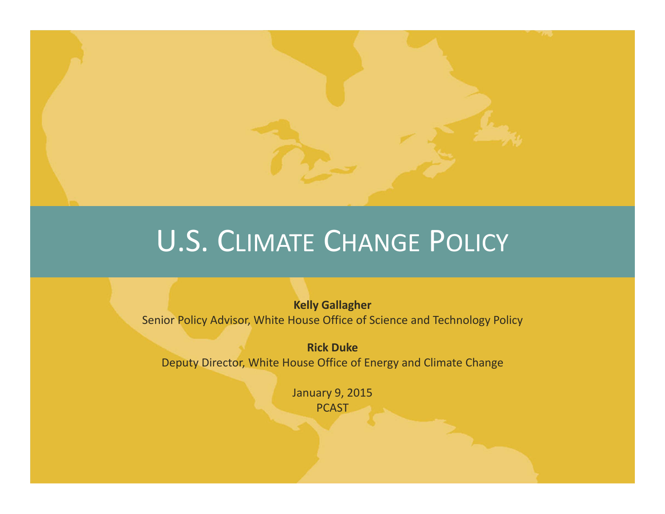

### U.S. CLIMATE CHANGE POLICY

**Kelly Gallagher** Senior Policy Advisor, White House Office of Science and Technology Policy

**Rick Duke**Deputy Director, White House Office of Energy and Climate Change

> January 9, 2015 **PCAST**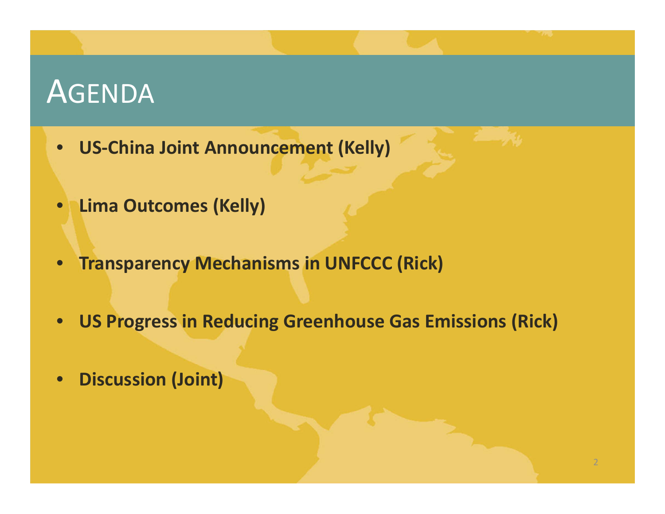### AGENDA

- **US‐China Joint Announcement (Kelly)**
- •**Lima Outcomes (Kelly)**
- $\bullet$ **Transparency Mechanisms in UNFCCC (Rick)**
- •**US Progress in Reducing Greenhouse Gas Emissions (Rick)**
- •**Discussion (Joint)**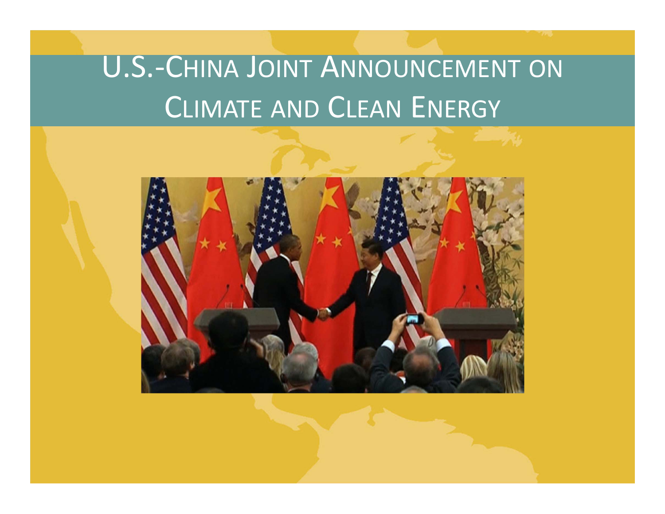# U.S.‐CHINA JOINT ANNOUNCEMENT ON CLIMATE AND CLEAN ENERGY

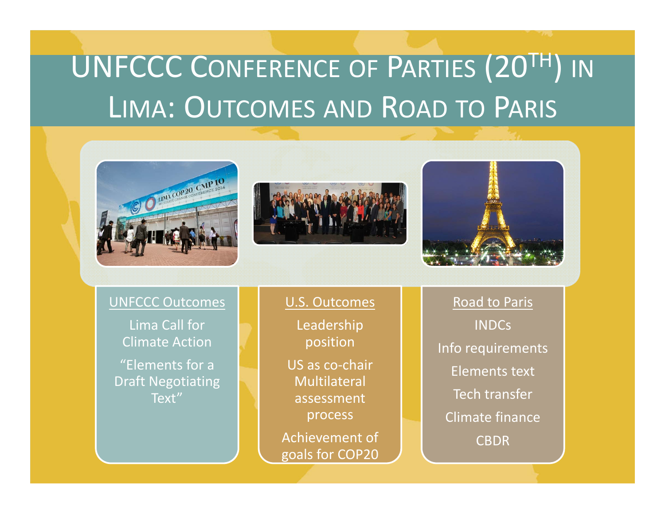# UNFCCC CONFERENCE OF PARTIES (20TH) IN LIMA: OUTCOMES AND ROAD TO PARIS







UNFCCC Outcomes

Lima Call for Climate Action"Elements for <sup>a</sup>Draft Negotiating Text"

U.S. Outcomes

Leadership position US as co‐chair Multilateralassessmentprocess

Achievement of goals for COP20

Road to Paris INDCsInfo requirements Elements text Tech transfer Climate finance CBDR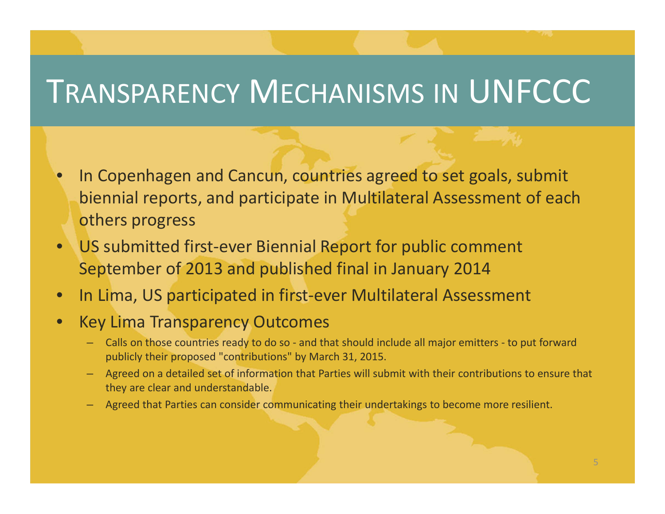## TRANSPARENCY MECHANISMS IN UNFCCC

- $\bullet$ • In Copenhagen and Cancun, countries agreed to set goals, submit biennial reports, and participate in Multilateral Assessment of each others progress
- •● US submitted first-ever Biennial Report for public comment September of 2013 and published final in January 2014
- •● In Lima, US participated in first-ever Multilateral Assessment

#### •Key Lima Transparency Outcomes

- Calls on those countries ready to do so ‐ and that should include all major emitters ‐ to put forward publicly their proposed "contributions" by March 31, 2015.
- Agreed on <sup>a</sup> detailed set of information that Parties will submit with their contributions to ensure that they are clear and understandable.
- Agreed that Parties can consider communicating their undertakings to become more resilient.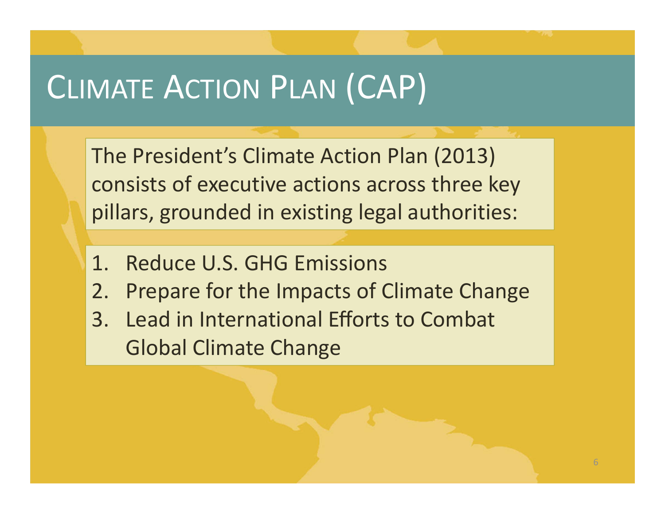## CLIMATE ACTION PLAN (CAP)

The President's Climate Action Plan (2013) consists of executive actions across three key pillars, grounded in existing legal authorities:

- 1. Reduce U.S. GHG Emissions
- 2. Prepare for the Impacts of Climate Change
- 3. Lead in International Efforts to Combat Global Climate Change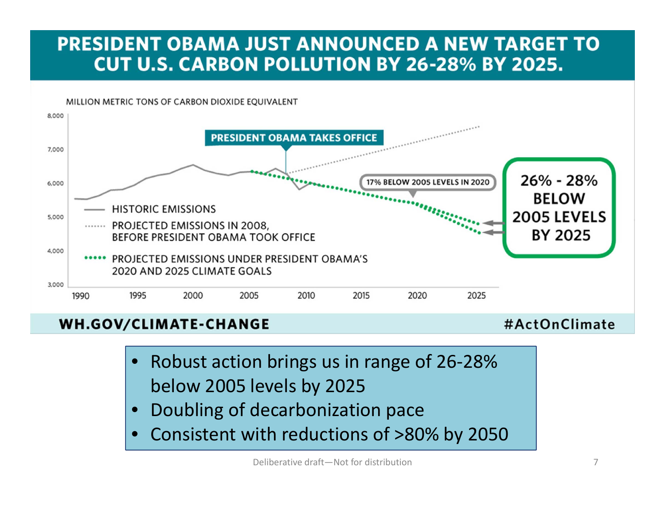#### **PRESIDENT OBAMA JUST ANNOUNCED A NEW TARGET TO CUT U.S. CARBON POLLUTION BY 26-28% BY 2025.**

MILLION METRIC TONS OF CARBON DIOXIDE EQUIVALENT



#### **WH.GOV/CLIMATE-CHANGE**

#ActOnClimate

- •● Robust action brings us in range of 26-28% below 2005 levels by 2025
- •Doubling of decarbonization pace
- •Consistent with reductions of >80% by 2050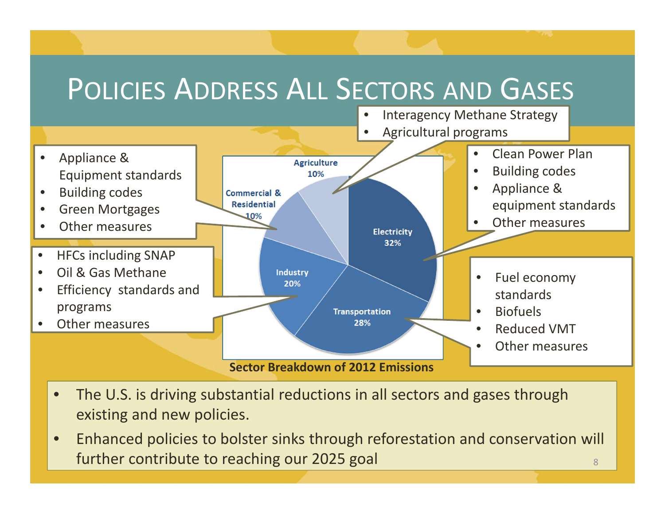### POLICIES ADDRESS ALL SECTORS AND GASES



- $\bullet$  The U.S. is driving substantial reductions in all sectors and gases through existing and new policies.
- $\bullet$  Enhanced policies to bolster sinks through reforestation and conservation will further contribute to reaching our 2025 goal  $\overline{\phantom{a}}$  8  $\overline{\phantom{a}}$  8  $\overline{\phantom{a}}$  8  $\overline{\phantom{a}}$  8  $\overline{\phantom{a}}$  8  $\overline{\phantom{a}}$  8  $\overline{\phantom{a}}$  8  $\overline{\phantom{a}}$  8  $\overline{\phantom{a}}$  8  $\overline{\phantom{a}}$  8  $\overline{\phantom{a}}$  8  $\overline{\phantom{a}}$  8  $\overline{\phantom{$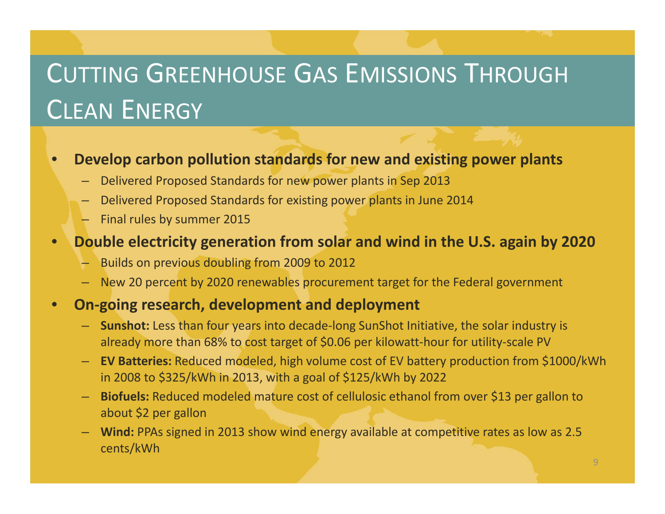## CUTTING GREENHOUSE GAS EMISSIONS THROUGH CLEAN ENERGY

 $\bullet$ **Develop carbon pollution standards for new and existing power plants**

- Delivered Proposed Standards for new power plants in Sep 2013
- Delivered Proposed Standards for existing power plants in June 2014
- Final rules by summer 2015

#### $\bullet$ **Double electricity generation from solar and wind in the U.S. again by 2020**

- Builds on previous doubling from 2009 to 2012
- New 20 percent by 2020 renewables procurement target for the Federal government

#### $\bullet$ **On‐going research, development and deployment**

- **Sunshot:** Less than four years into decade‐long SunShot Initiative, the solar industry is already more than 68% to cost target of \$0.06 per kilowatt‐hour for utility‐scale PV
- **EV Batteries:** Reduced modeled, high volume cost of EV battery production from \$1000/kWh in 2008 to \$325/kWh in 2013, with <sup>a</sup> goal of \$125/kWh by 2022
- **Biofuels:** Reduced modeled mature cost of cellulosic ethanol from over \$13 per gallon to about \$2 per gallon
- **Wind:** PPAs signed in 2013 show wind energy available at competitive rates as low as 2.5 cents/kWh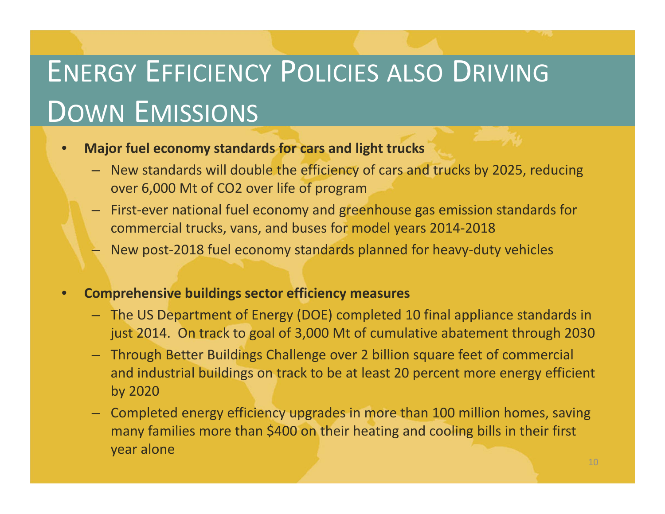# ENERGY EFFICIENCY POLICIES ALSO DRIVING DOWN EMISSIONS

#### •**Major fuel economy standards for cars and light trucks**

- New standards will double the efficiency of cars and trucks by 2025, reducing over 6,000 Mt of CO2 over life of program
- First‐ever national fuel economy and greenhouse gas emission standards for commercial trucks, vans, and buses for model years 2014‐2018
- New post‐2018 fuel economy standards planned for heavy‐duty vehicles
- • **Comprehensive buildings sector efficiency measures**
	- The US Department of Energy (DOE) completed 10 final appliance standards in just 2014. On track to goal of 3,000 Mt of cumulative abatement through 2030
	- Through Better Buildings Challenge over 2 billion square feet of commercial and industrial buildings on track to be at least 20 percent more energy efficient by 2020
	- Completed energy efficiency upgrades in more than 100 million homes, saving many families more than \$400 on their heating and cooling bills in their first year alone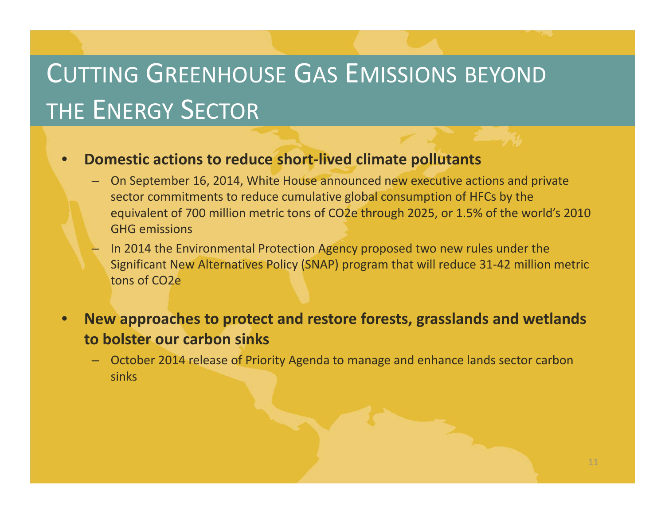### CUTTING GREENHOUSE GAS EMISSIONS BEYOND THE ENERGY SECTOR

#### $\bullet$ **Domestic actions to reduce short‐lived climate pollutants**

- On September 16, 2014, White House announced new executive actions and private sector commitments to reduce cumulative global consumption of HFCs by the equivalent of 700 million metric tons of CO2e through 2025, or 1.5% of the world's 2010 GHG emissions
- In 2014 the Environmental Protection Agency proposed two new rules under the Significant New Alternatives Policy (SNAP) program that will reduce 31‐42 million metric tons of CO2e
- $\bullet$  **New approaches to protect and restore forests, grasslands and wetlands to bolster our carbon sinks**
	- October 2014 release of Priority Agenda to manage and enhance lands sector carbon sinks